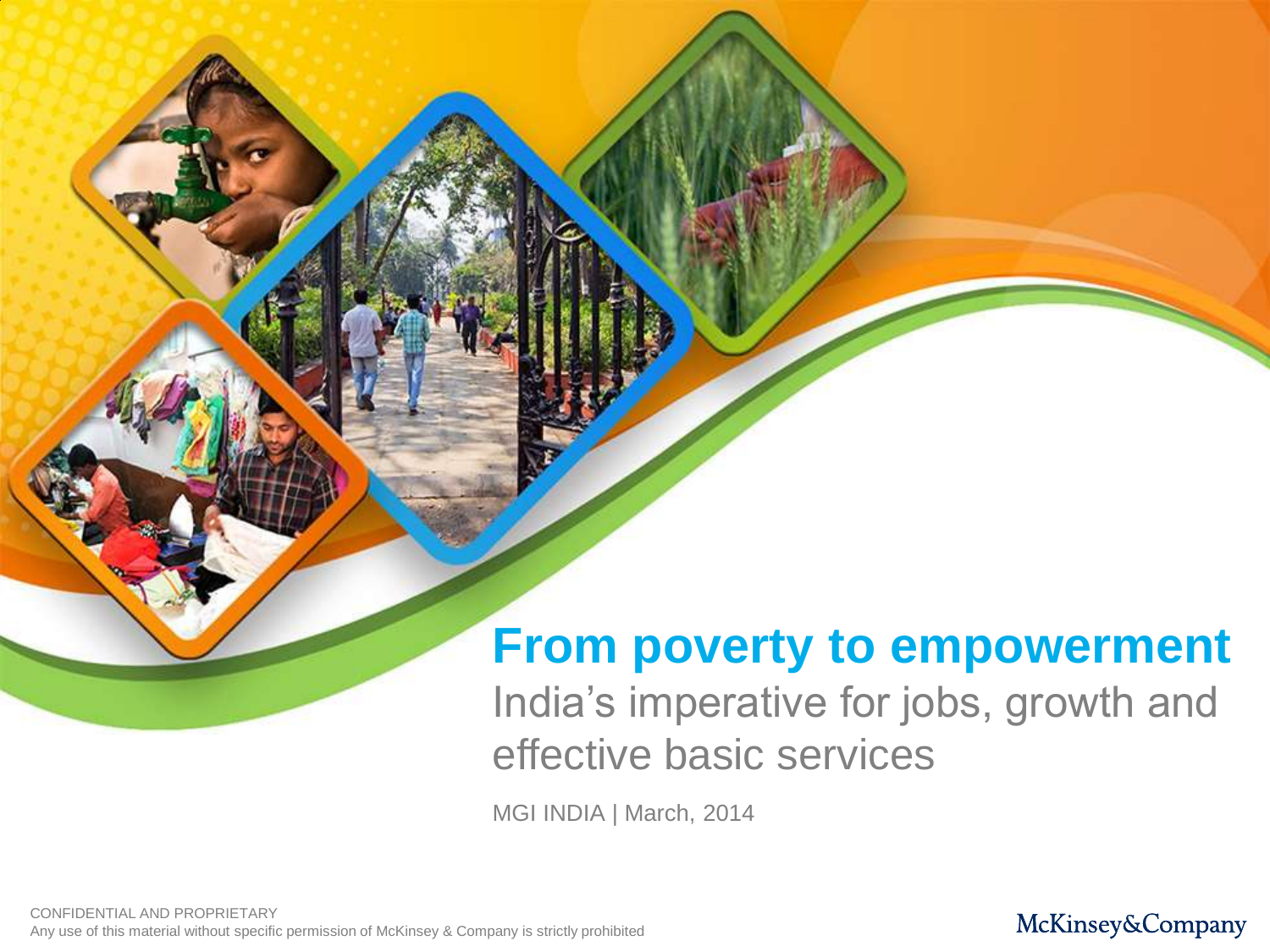# **From poverty to empowerment**

India's imperative for jobs, growth and effective basic services

MGI INDIA | March, 2014

CONFIDENTIAL AND PROPRIETARY Any use of this material without specific permission of McKinsey & Company is strictly prohibited

#### McKinsey&Company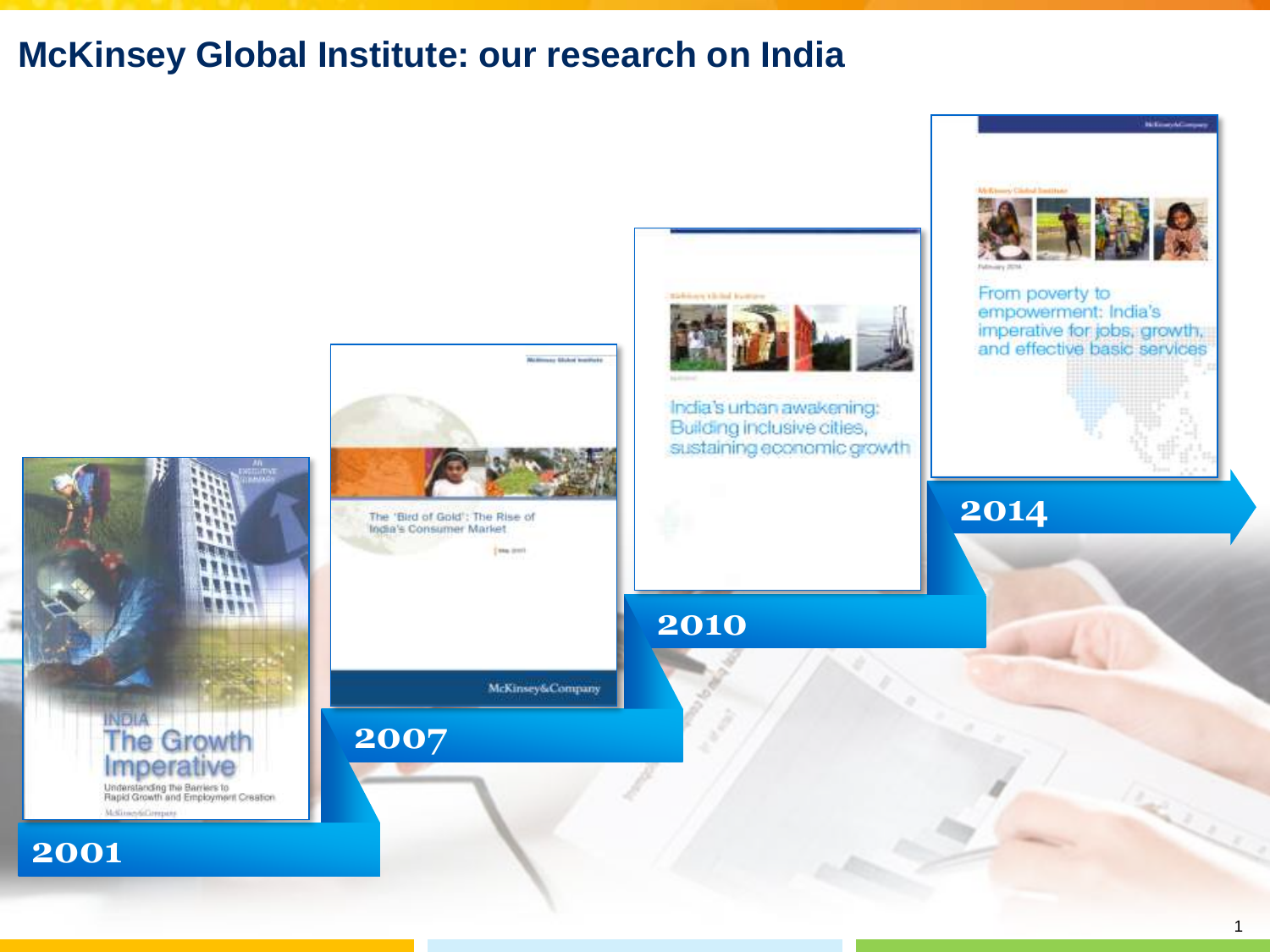## **McKinsey Global Institute: our research on India**

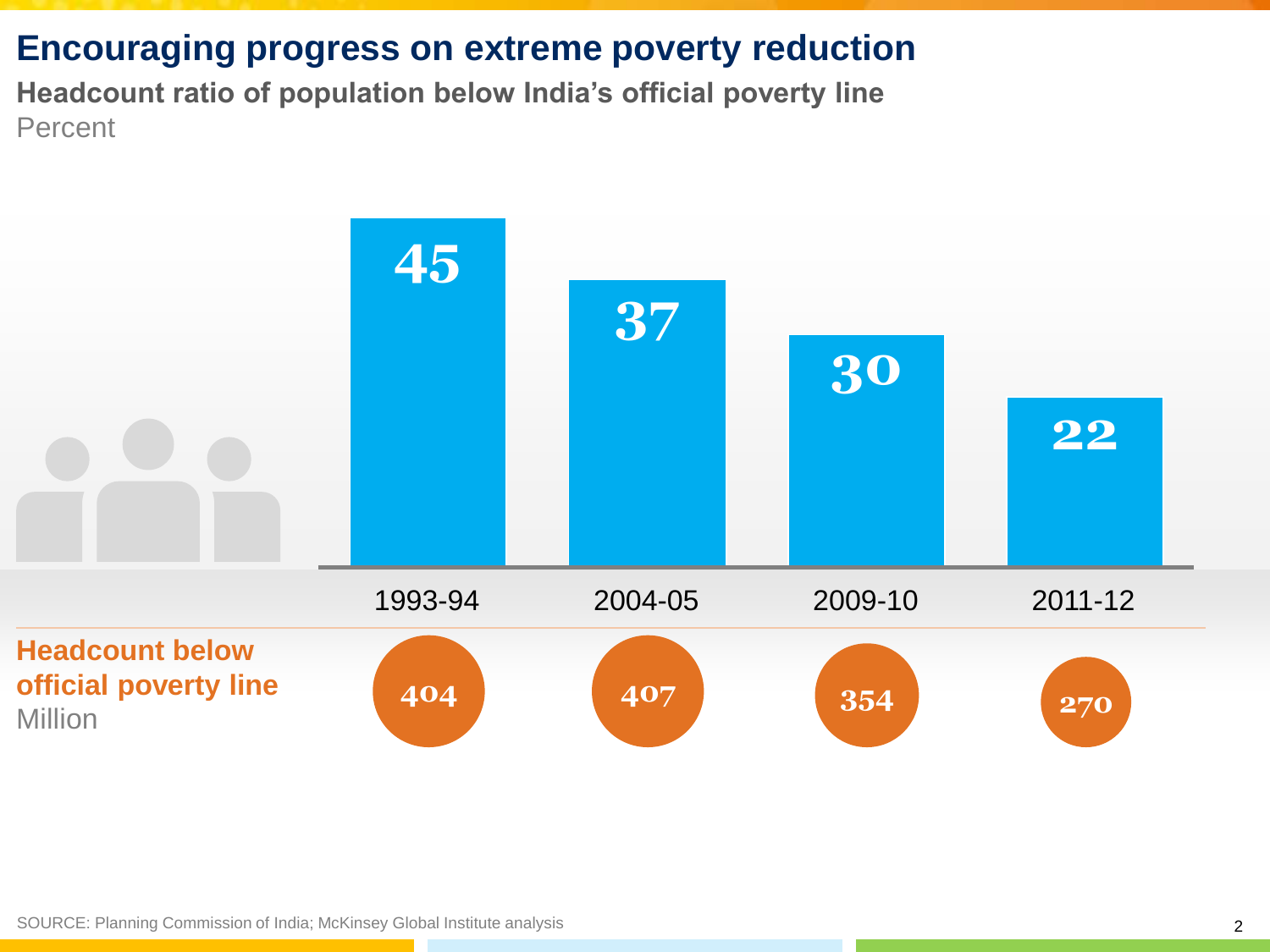# **Encouraging progress on extreme poverty reduction**

**Headcount ratio of population below India's official poverty line** Percent

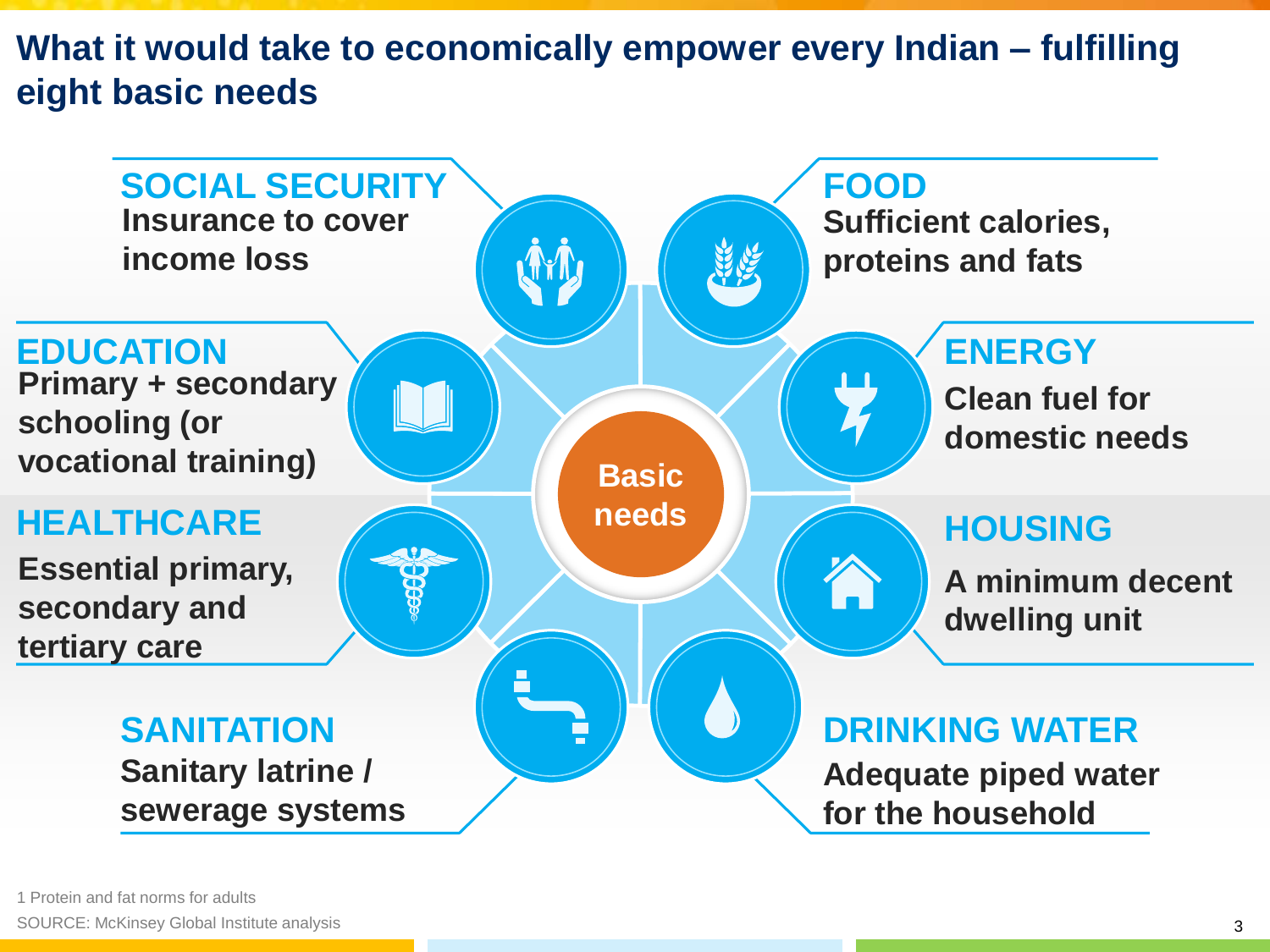**What it would take to economically empower every Indian – fulfilling eight basic needs**

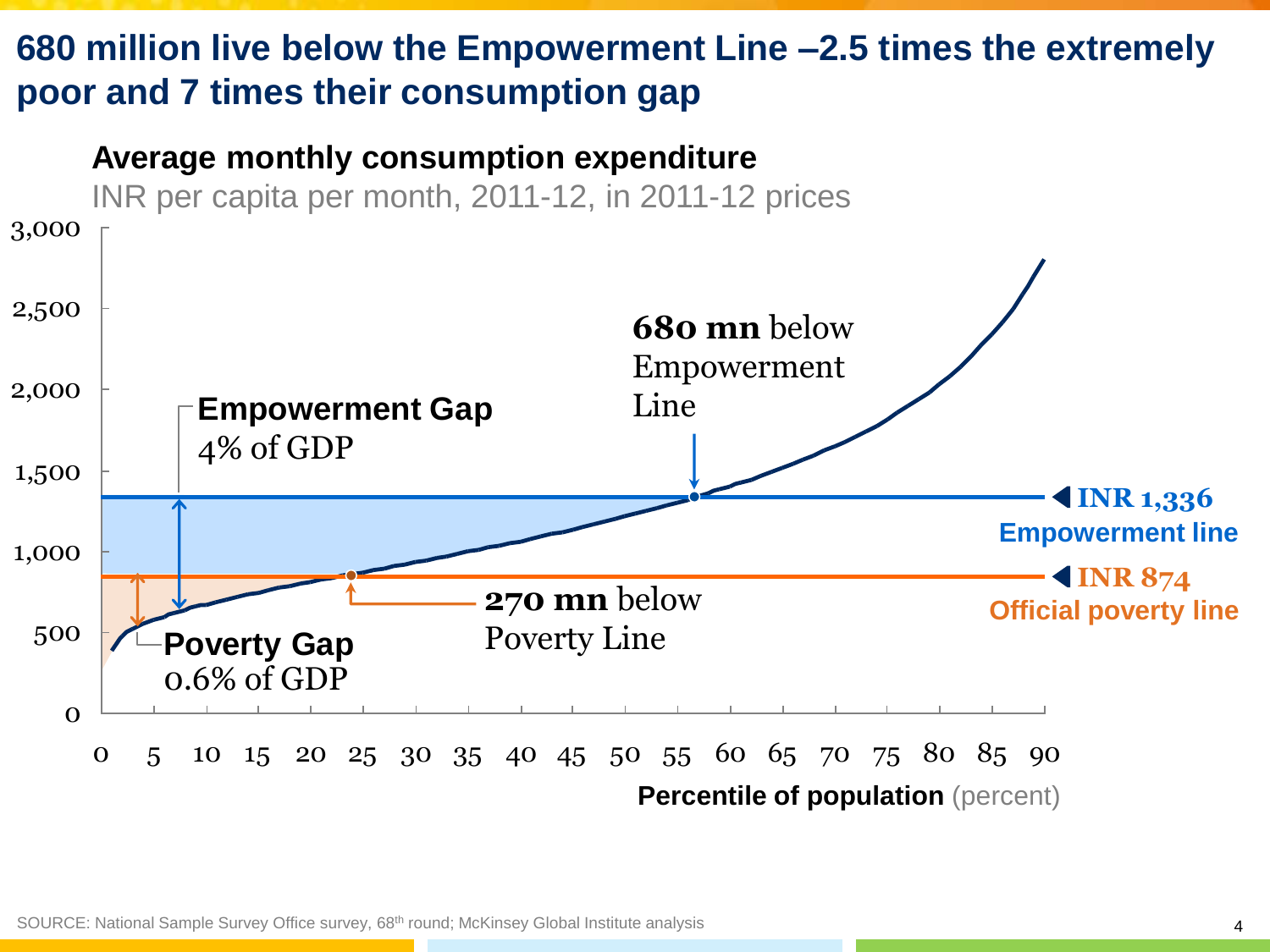# **680 million live below the Empowerment Line –2.5 times the extremely poor and 7 times their consumption gap**

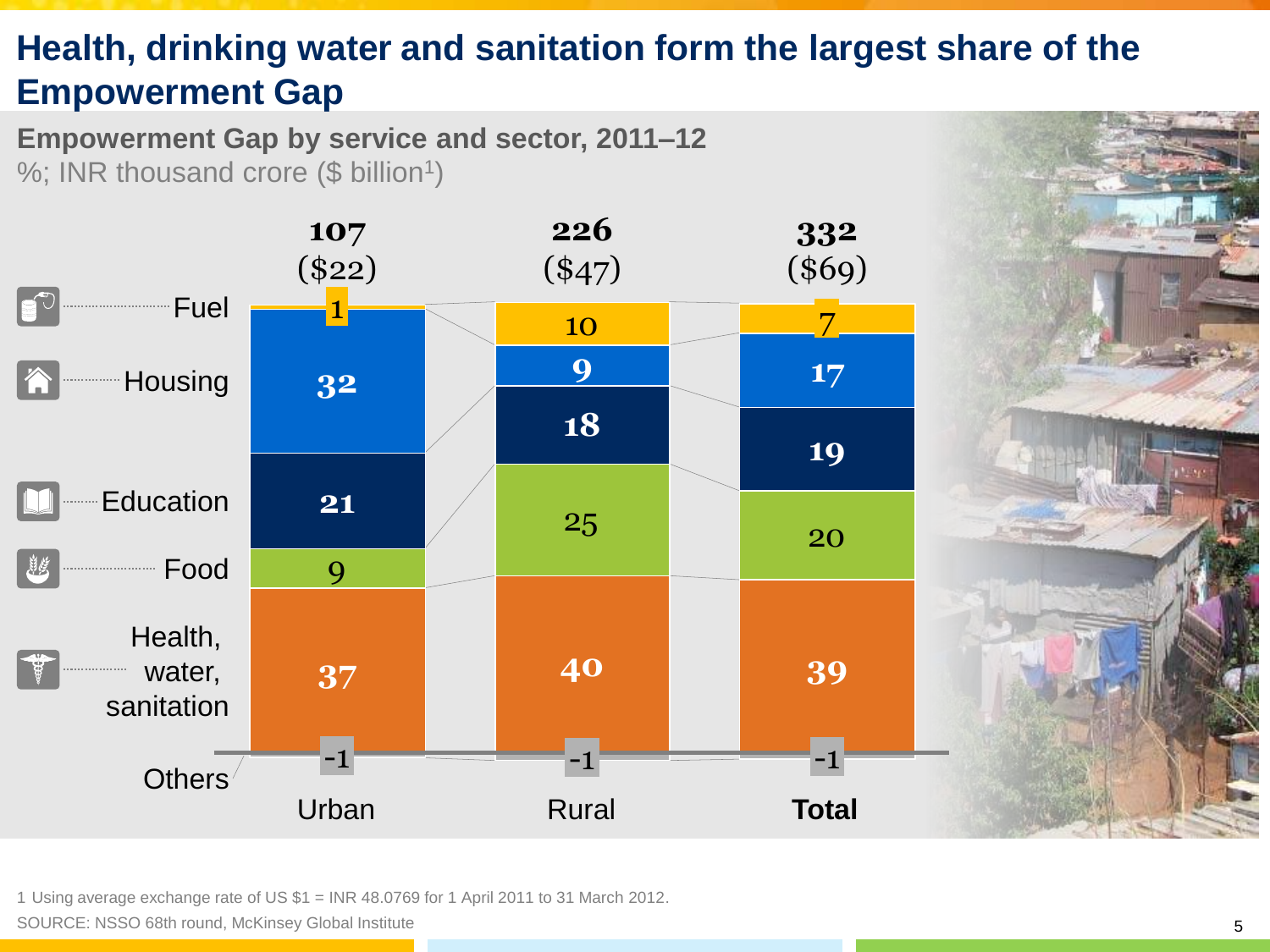# **Health, drinking water and sanitation form the largest share of the Empowerment Gap**

**Empowerment Gap by service and sector, 2011–12** %; INR thousand crore (\$ billion<sup>1</sup>)



1 Using average exchange rate of US \$1 = INR 48.0769 for 1 April 2011 to 31 March 2012.

SOURCE: NSSO 68th round, McKinsey Global Institute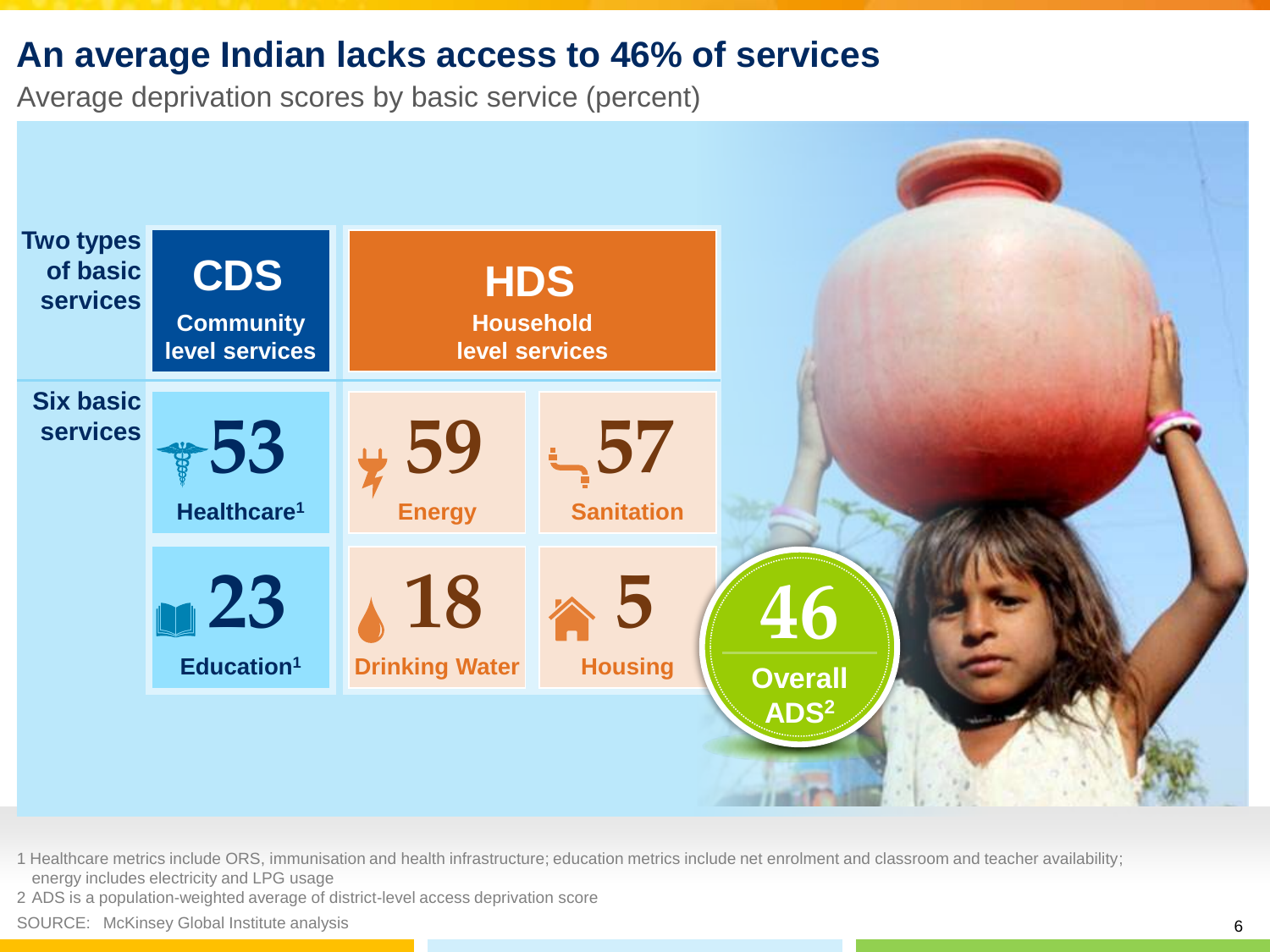## **An average Indian lacks access to 46% of services**

Average deprivation scores by basic service (percent)



1 Healthcare metrics include ORS, immunisation and health infrastructure; education metrics include net enrolment and classroom and teacher availability; energy includes electricity and LPG usage

2 ADS is a population-weighted average of district-level access deprivation score

SOURCE: McKinsey Global Institute analysis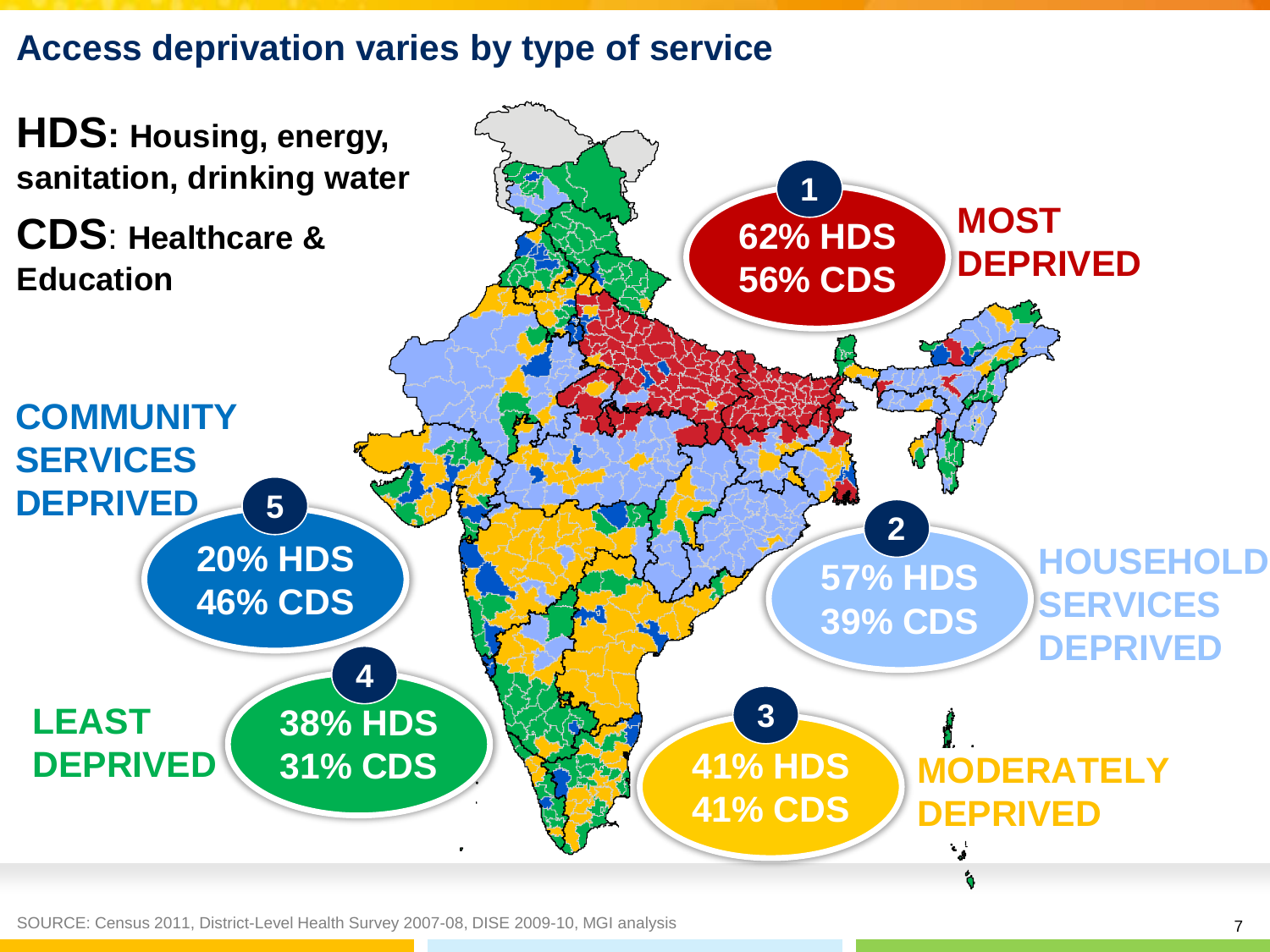**Access deprivation varies by type of service**

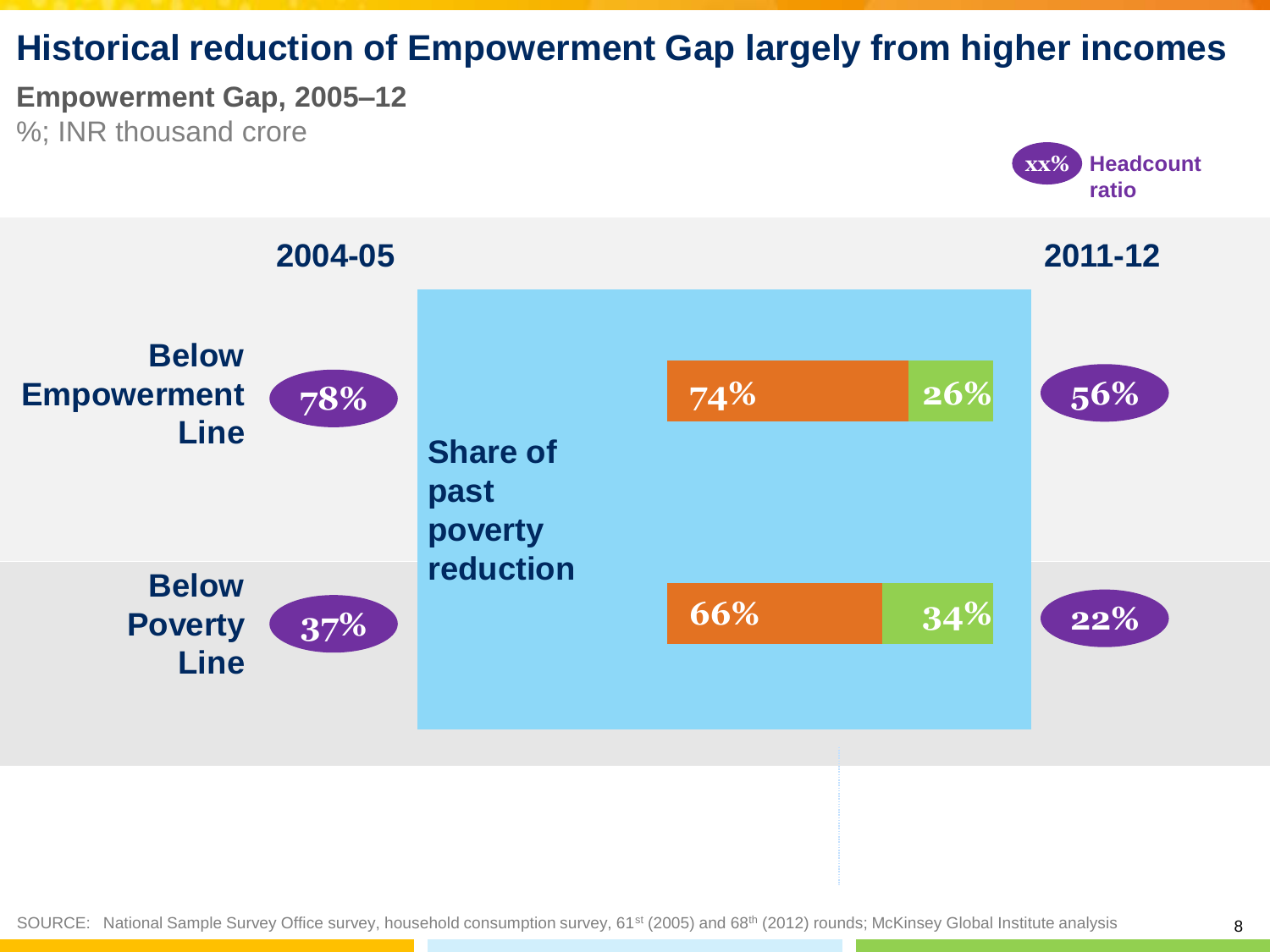# **Historical reduction of Empowerment Gap largely from higher incomes**

## **Empowerment Gap, 2005–12**

%; INR thousand crore



**xx% Headcount**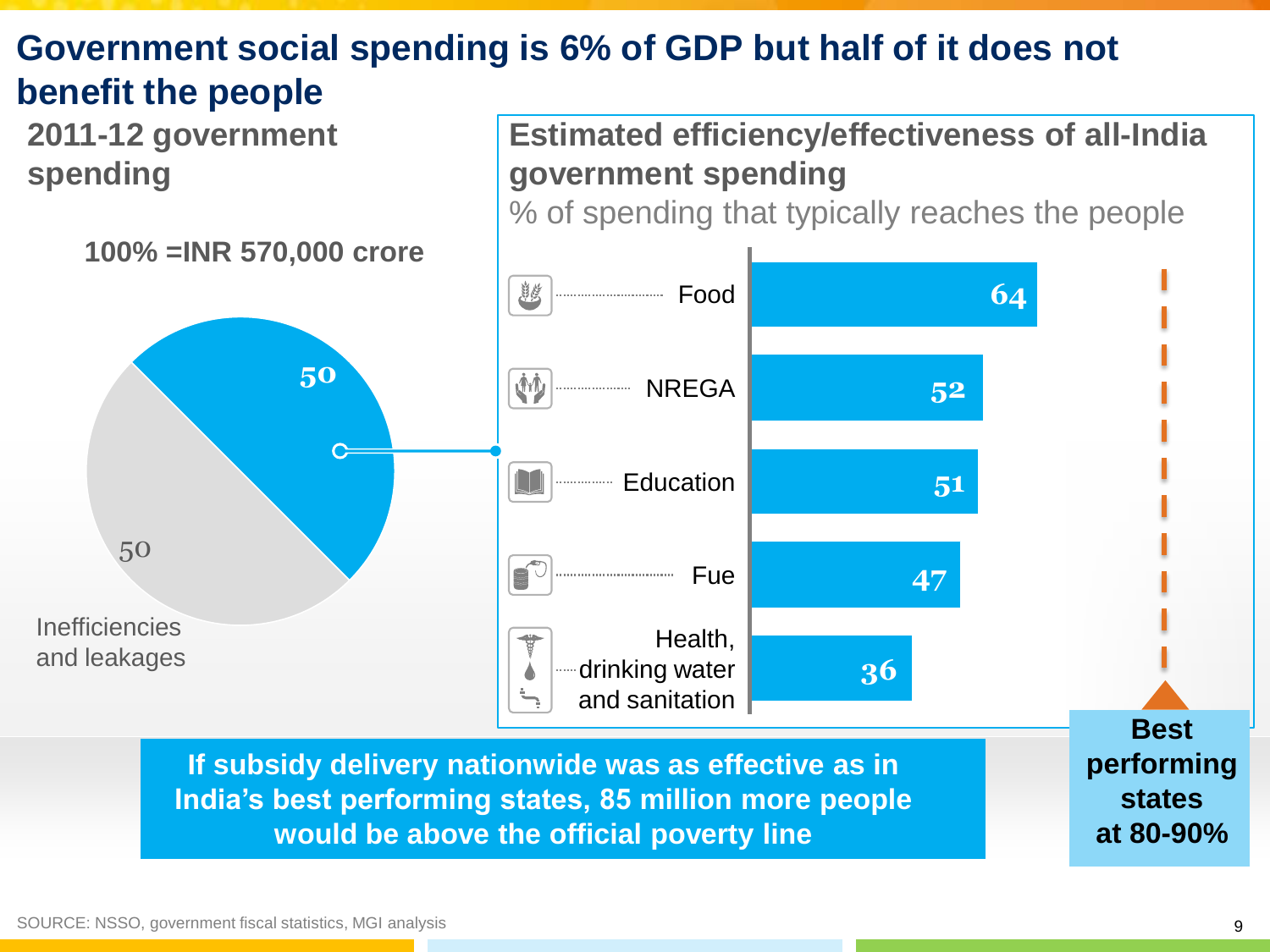# **Government social spending is 6% of GDP but half of it does not benefit the people**

**2011-12 government spending**

**Estimated efficiency/effectiveness of all-India government spending**

% of spending that typically reaches the people

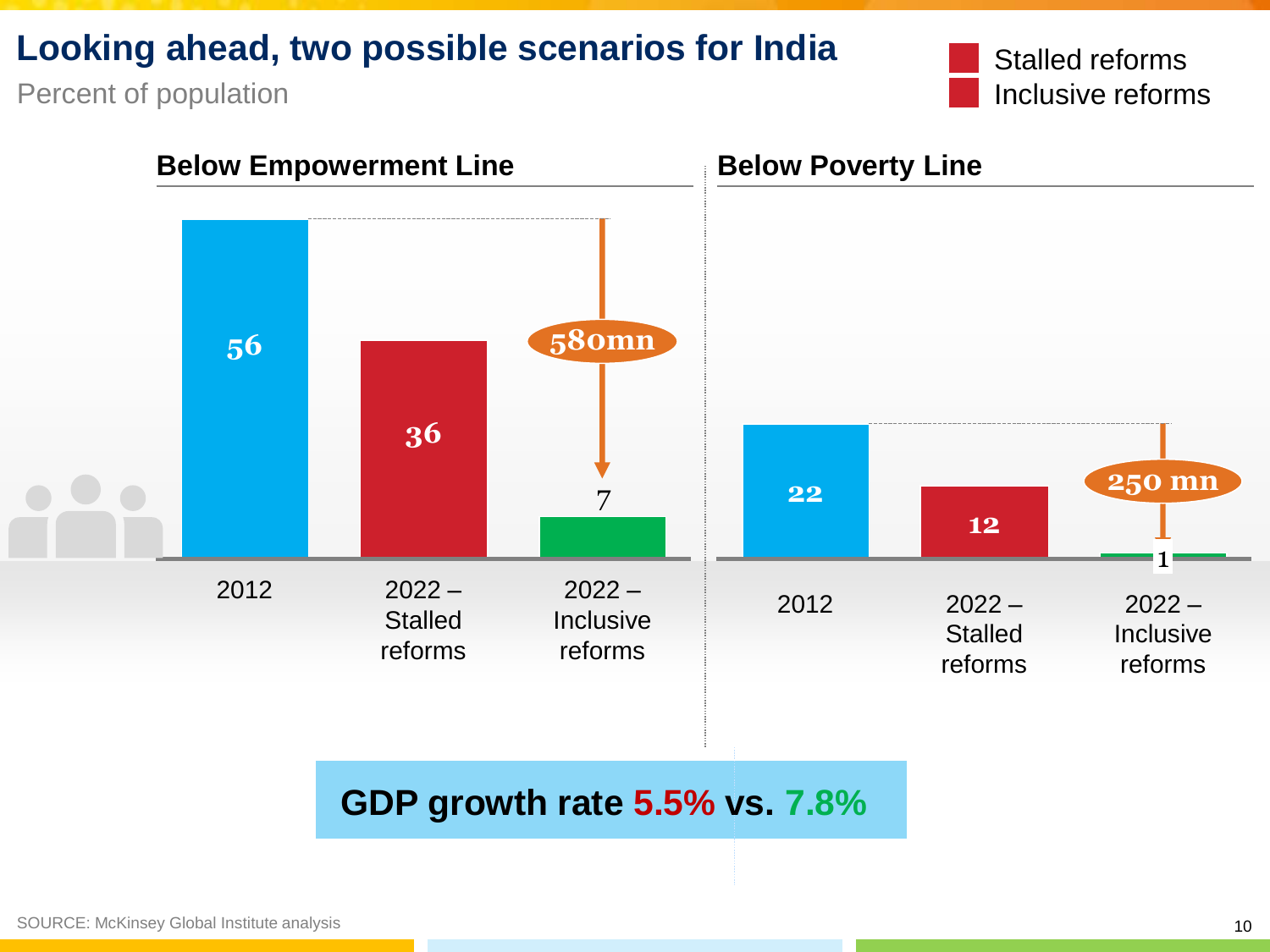## **Looking ahead, two possible scenarios for India**

Percent of population

Stalled reforms Inclusive reforms

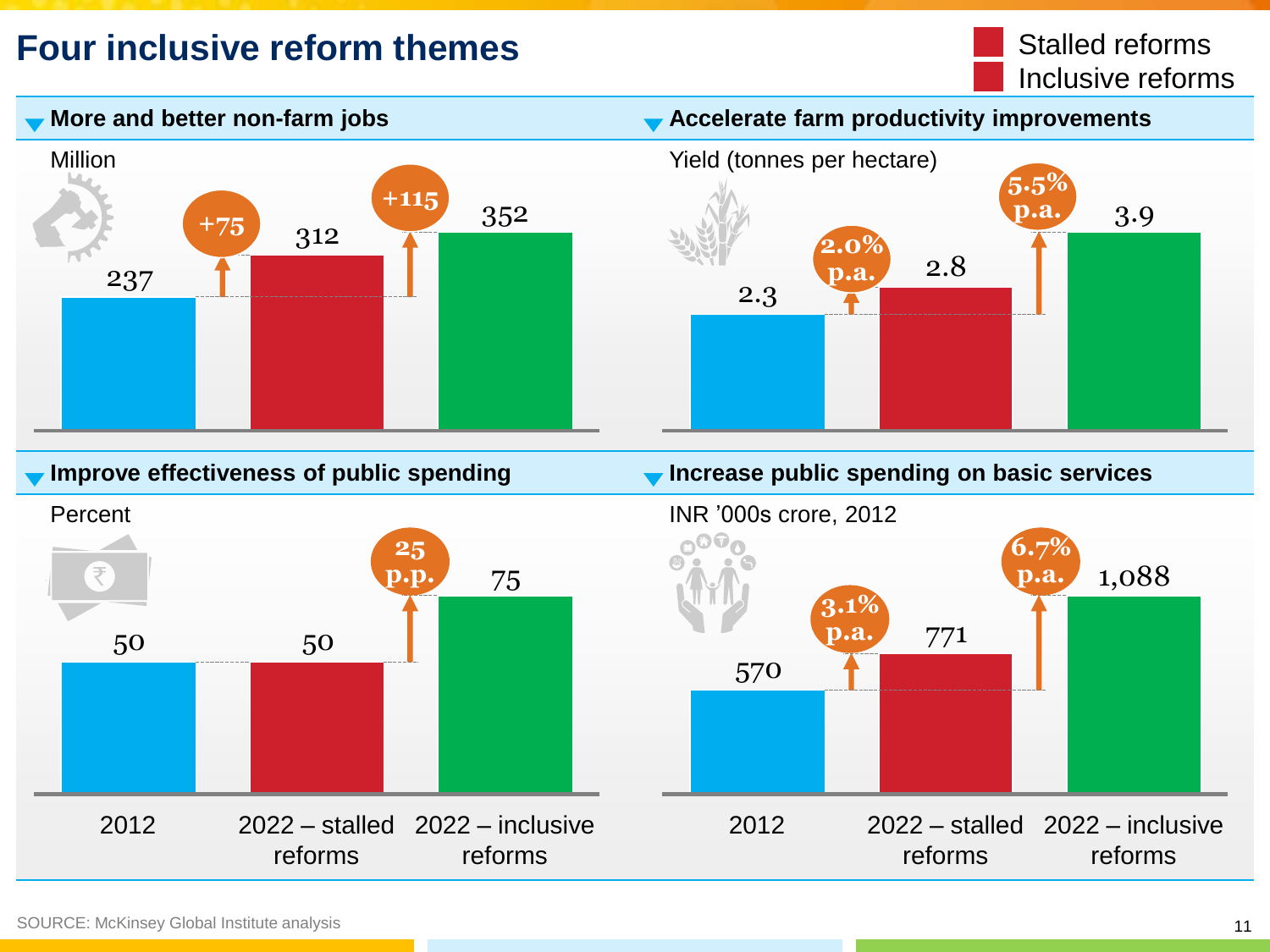# **Four inclusive reform themes**





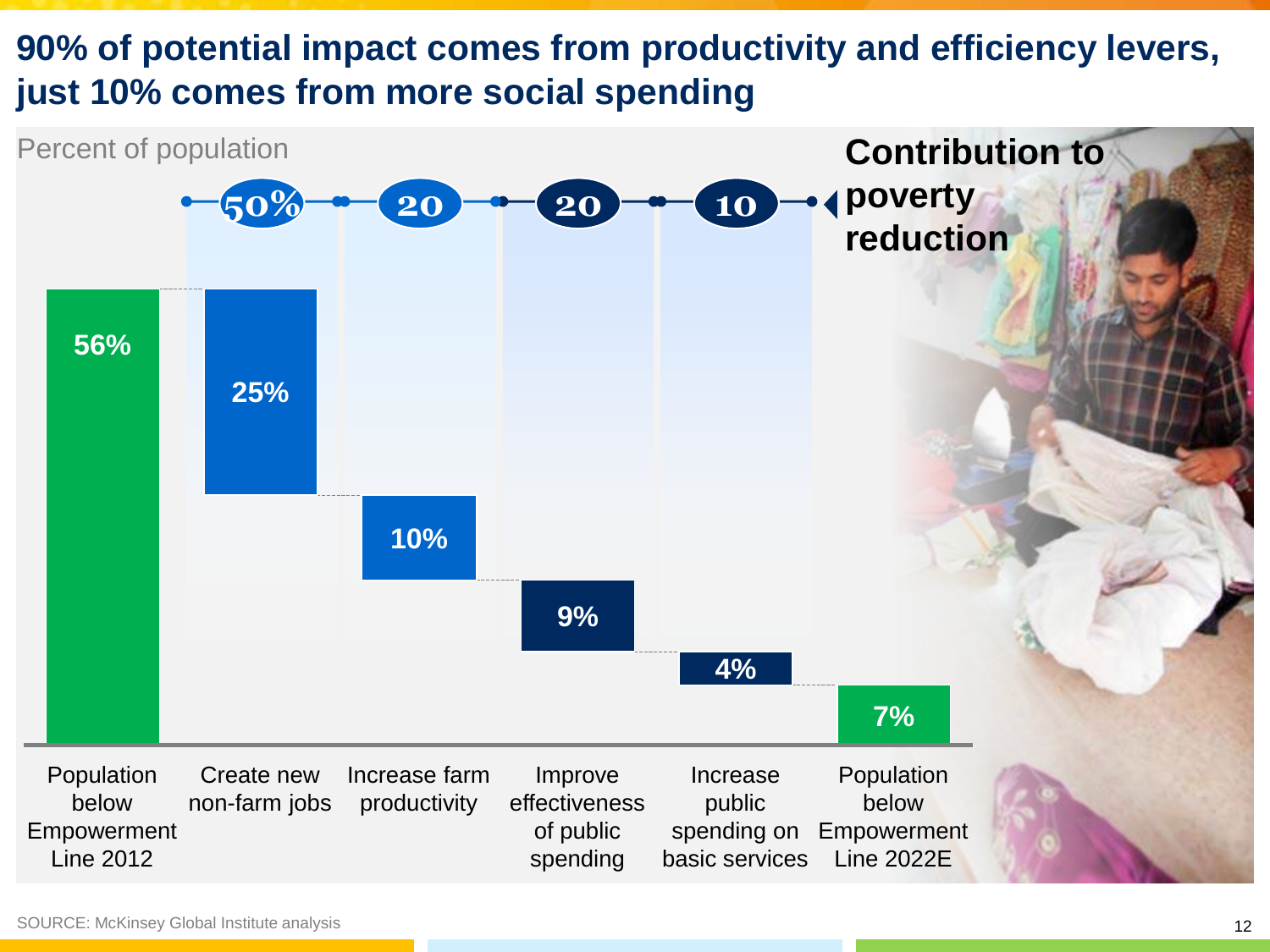# **90% of potential impact comes from productivity and efficiency levers, just 10% comes from more social spending**

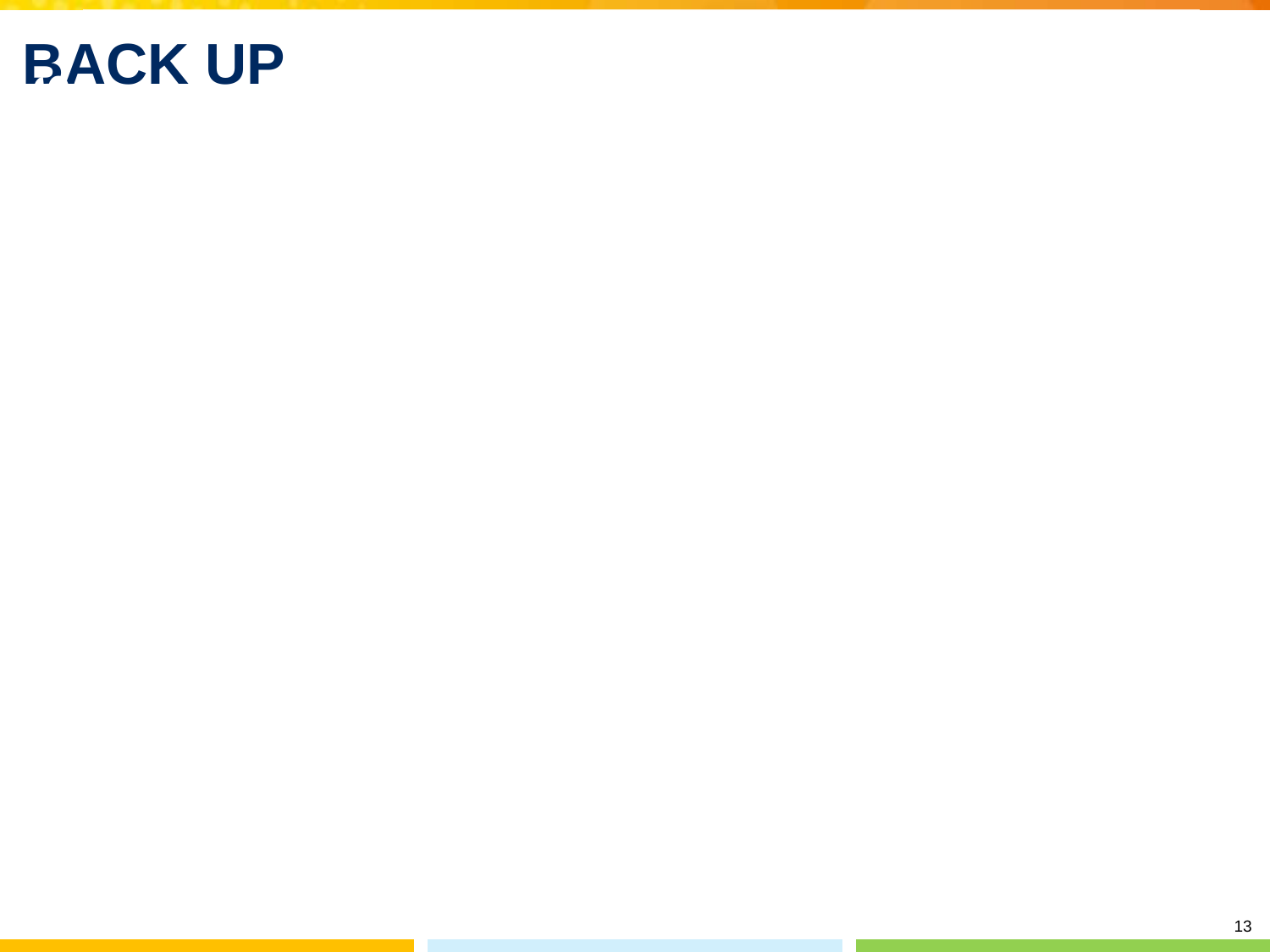# **BACK UP**

13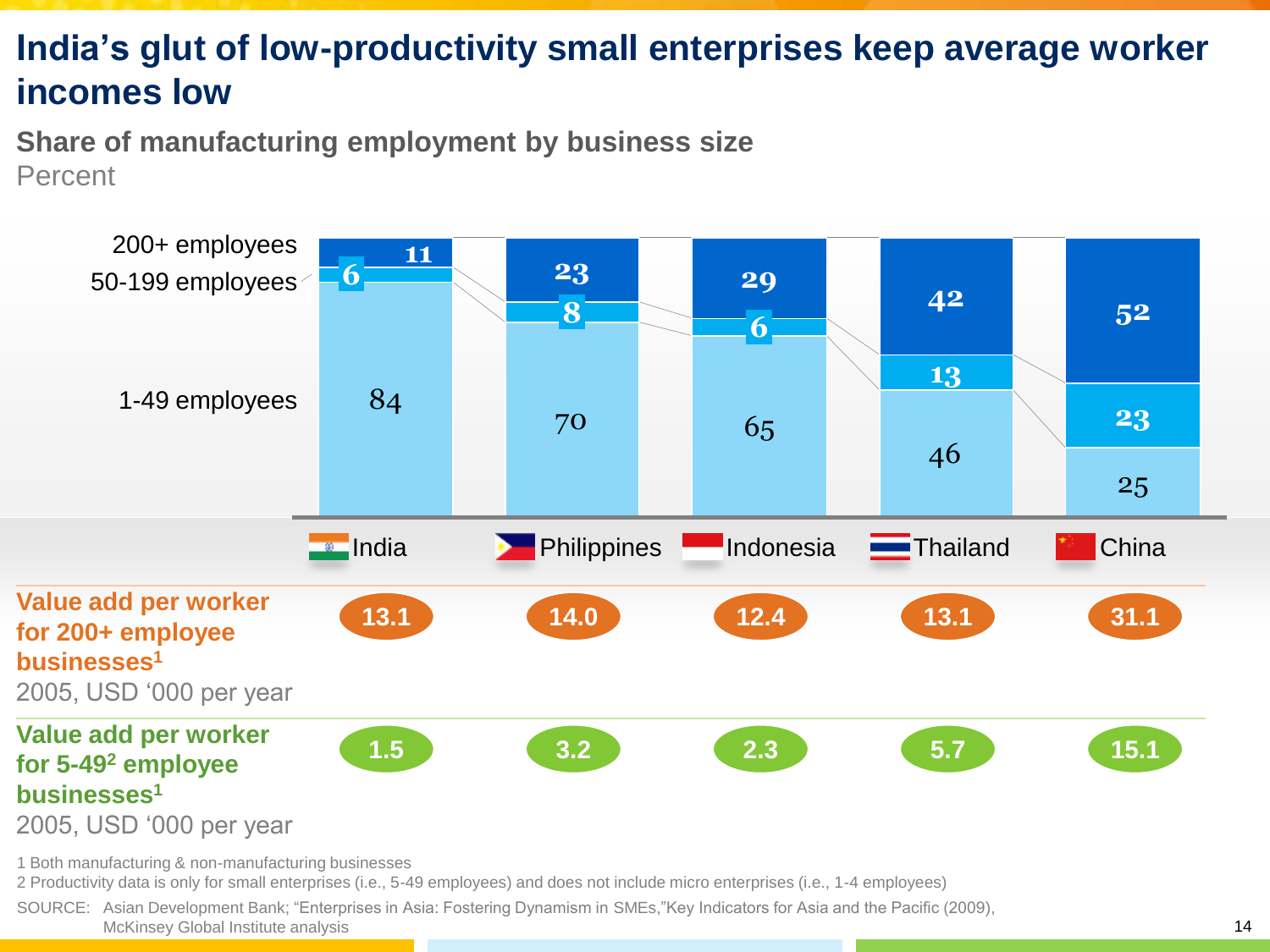# **India's glut of low-productivity small enterprises keep average worker incomes low**

**Share of manufacturing employment by business size** Percent



2 Productivity data is only for small enterprises (i.e., 5-49 employees) and does not include micro enterprises (i.e., 1-4 employees)

SOURCE: Asian Development Bank; "Enterprises in Asia: Fostering Dynamism in SMEs,"Key Indicators for Asia and the Pacific (2009), McKinsey Global Institute analysis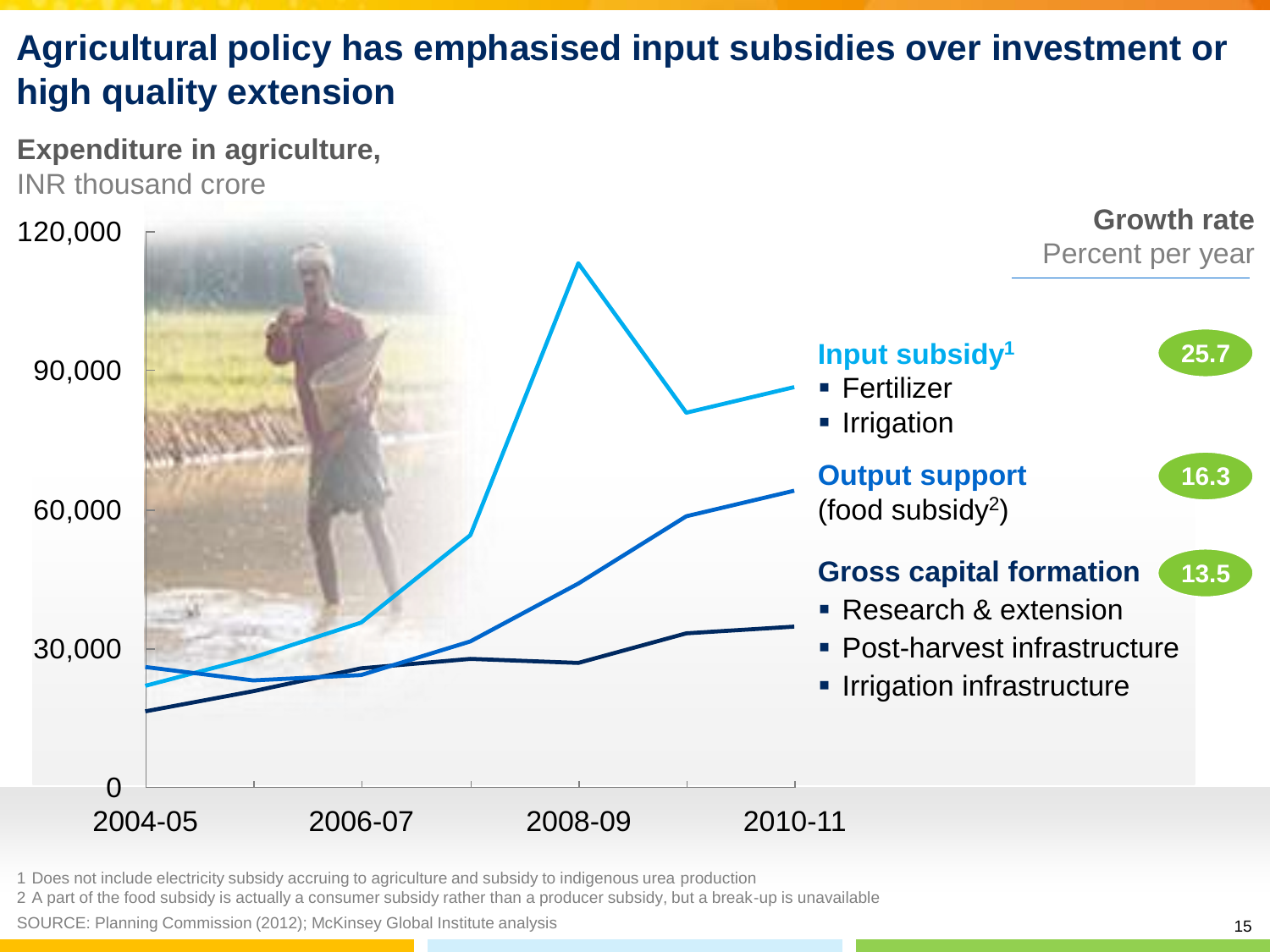# **Agricultural policy has emphasised input subsidies over investment or high quality extension**





1 Does not include electricity subsidy accruing to agriculture and subsidy to indigenous urea production

2 A part of the food subsidy is actually a consumer subsidy rather than a producer subsidy, but a break-up is unavailable

SOURCE: Planning Commission (2012); McKinsey Global Institute analysis 15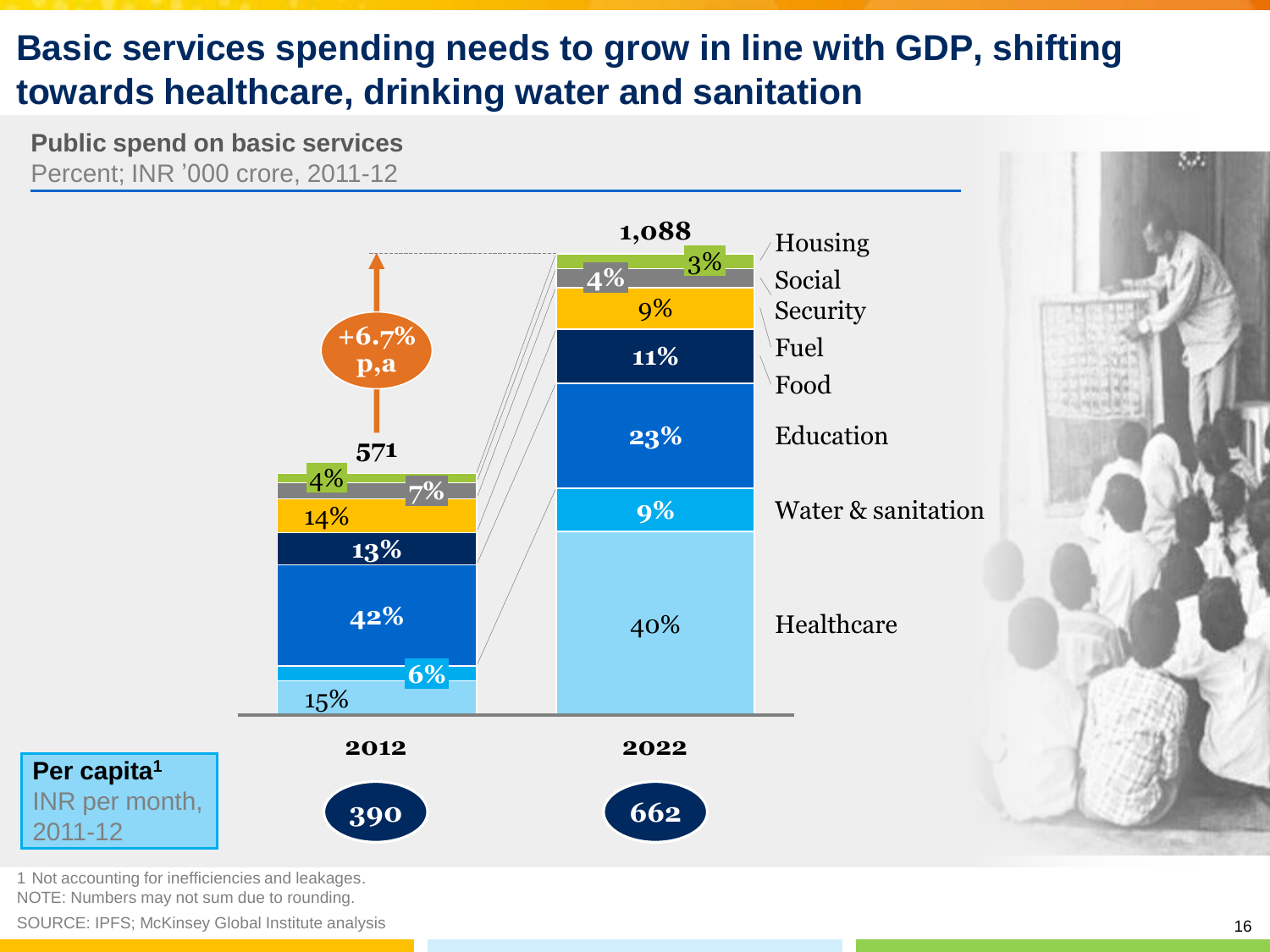# **Basic services spending needs to grow in line with GDP, shifting towards healthcare, drinking water and sanitation**

**Public spend on basic services** Percent; INR '000 crore, 2011-12



1 Not accounting for inefficiencies and leakages. NOTE: Numbers may not sum due to rounding.

SOURCE: IPFS; McKinsey Global Institute analysis

w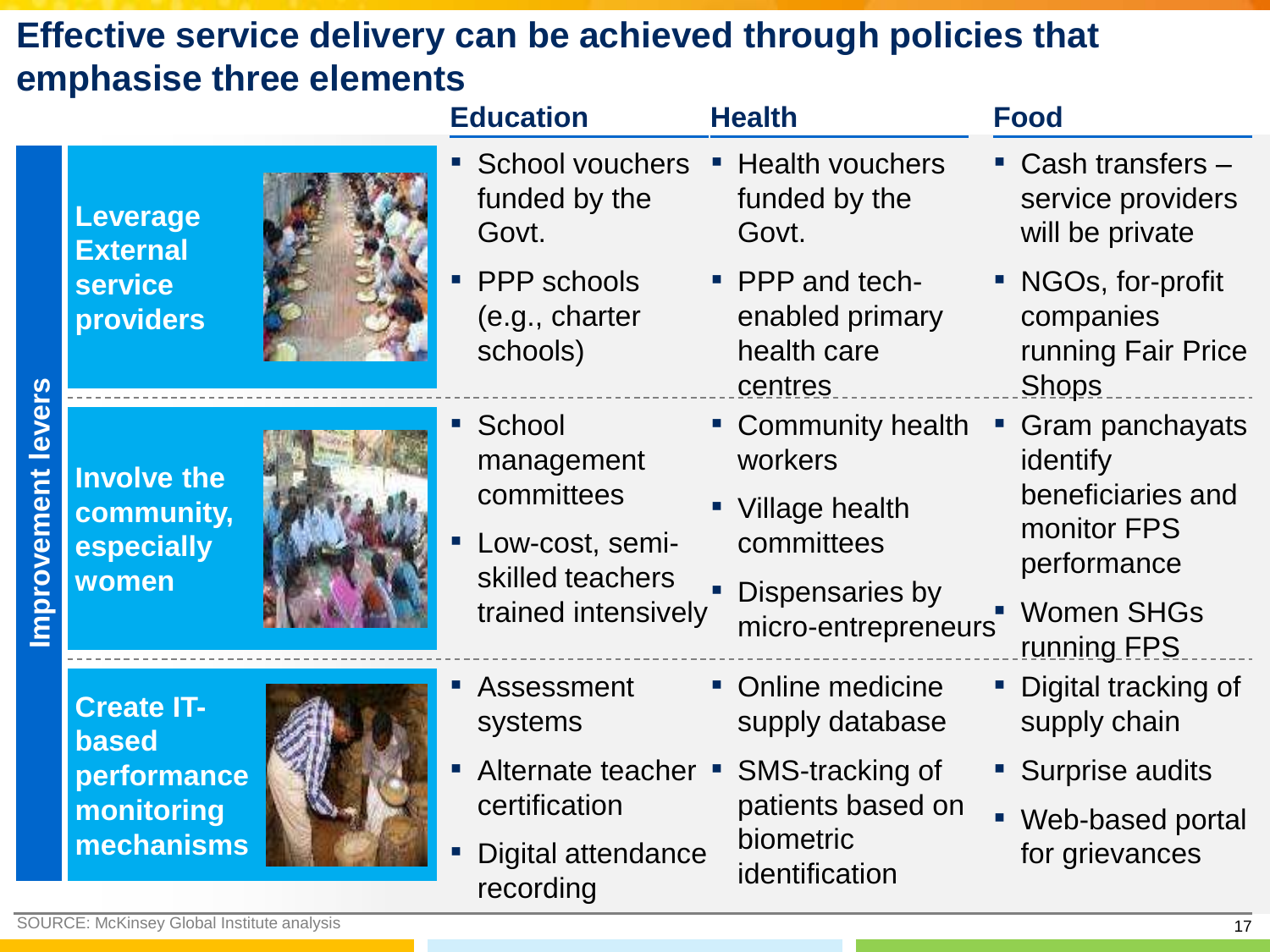# **Effective service delivery can be achieved through policies that emphasise three elements**

|                             |                                                                              |  | <b>Education</b>                                                                                   | <b>Health</b>                                                   | <b>Food</b>                                                                          |
|-----------------------------|------------------------------------------------------------------------------|--|----------------------------------------------------------------------------------------------------|-----------------------------------------------------------------|--------------------------------------------------------------------------------------|
| <b>levers</b><br>mprovement | <b>Leverage</b><br><b>External</b><br><b>service</b><br><b>providers</b>     |  | School vouchers<br>funded by the<br>Govt.                                                          | • Health vouchers<br>funded by the<br>Govt.                     | $\blacksquare$ Cash transfers $\blacksquare$<br>service providers<br>will be private |
|                             |                                                                              |  | • PPP schools<br>(e.g., charter<br>schools)                                                        | • PPP and tech-<br>enabled primary<br>health care<br>centres    | • NGOs, for-profit<br>companies<br>running Fair Price<br><b>Shops</b>                |
|                             | <b>Involve the</b><br>community,<br>especially<br>women                      |  | ■ School<br>management<br>committees<br>Low-cost, semi-<br>skilled teachers<br>trained intensively | • Community health<br>workers<br>• Village health<br>committees | Gram panchayats<br>identify<br>beneficiaries and<br>monitor FPS<br>performance       |
|                             |                                                                              |  |                                                                                                    | Dispensaries by<br>micro-entrepreneurs                          | <b>Women SHGs</b><br>running FPS                                                     |
|                             | <b>Create IT-</b><br><b>based</b><br>performance<br>monitoring<br>mechanisms |  | Assessment<br>systems                                                                              | • Online medicine<br>supply database                            | Digital tracking of<br>supply chain                                                  |
|                             |                                                                              |  | Alternate teacher • SMS-tracking of<br>certification                                               | patients based on<br>biometric<br>identification                | • Surprise audits                                                                    |
|                             |                                                                              |  |                                                                                                    |                                                                 | Web-based portal                                                                     |
|                             |                                                                              |  | Digital attendance<br>$\blacksquare$<br>recording                                                  |                                                                 | for grievances                                                                       |
|                             | <b>SOURCE: McKinsey Global Institute analysis</b>                            |  |                                                                                                    |                                                                 | 17                                                                                   |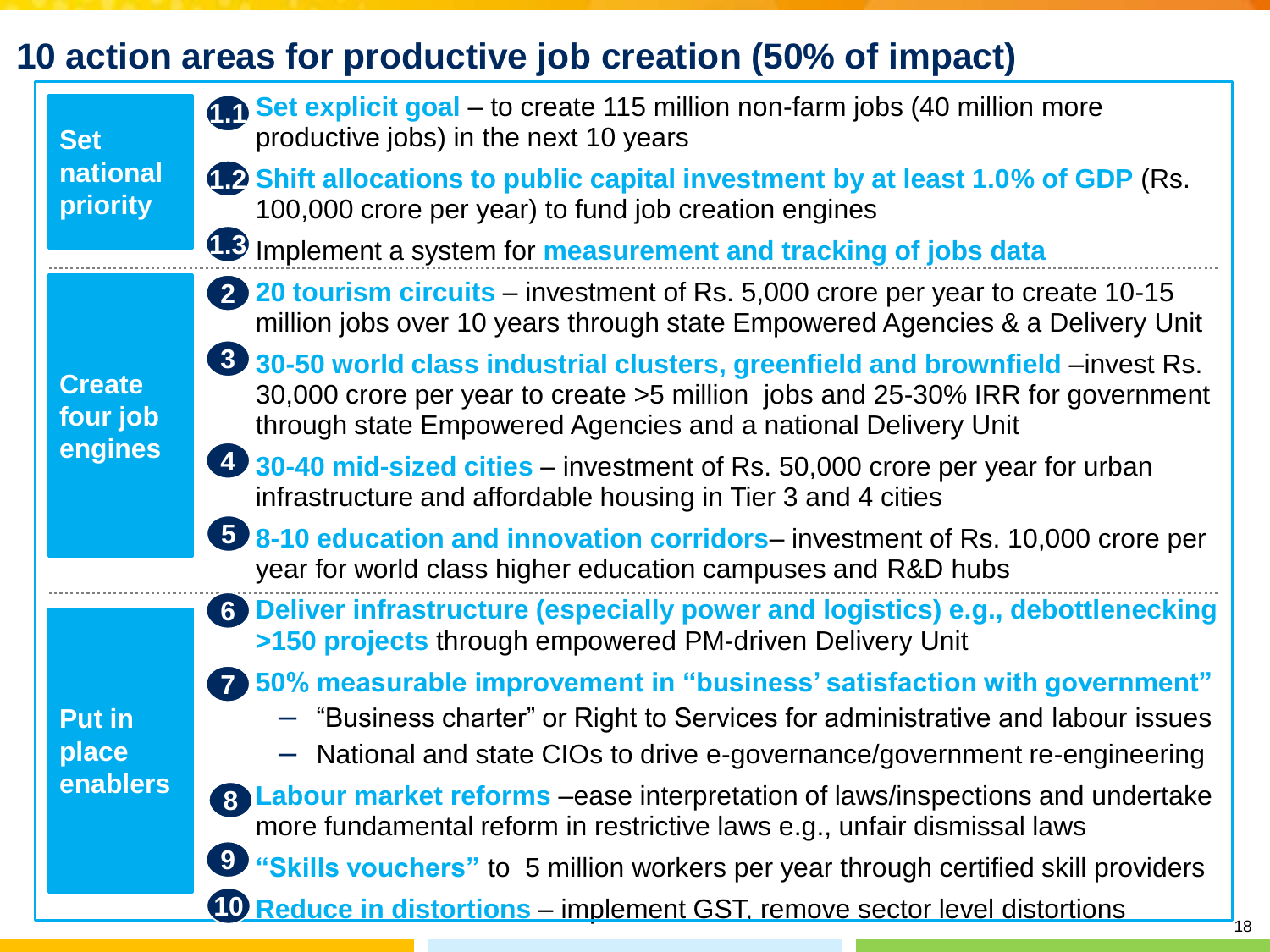# **10 action areas for productive job creation (50% of impact)**

| <b>Set</b>                | Set explicit goal - to create 115 million non-farm jobs (40 million more<br>productive jobs) in the next 10 years                                                                                                                     |
|---------------------------|---------------------------------------------------------------------------------------------------------------------------------------------------------------------------------------------------------------------------------------|
| national<br>priority      | <b>12 Shift allocations to public capital investment by at least 1.0% of GDP (Rs.</b><br>100,000 crore per year) to fund job creation engines                                                                                         |
|                           | 1.3 Implement a system for <b>measurement and tracking of jobs data</b>                                                                                                                                                               |
|                           | 20 tourism circuits – investment of Rs. 5,000 crore per year to create 10-15<br>million jobs over 10 years through state Empowered Agencies & a Delivery Unit                                                                         |
| <b>Create</b><br>four job | 30-50 world class industrial clusters, greenfield and brownfield –invest Rs.<br>30,000 crore per year to create >5 million jobs and 25-30% IRR for government<br>through state Empowered Agencies and a national Delivery Unit        |
| engines                   | 4 30-40 mid-sized cities – investment of Rs. 50,000 crore per year for urban<br>infrastructure and affordable housing in Tier 3 and 4 cities                                                                                          |
|                           | <b>5</b> 8-10 education and innovation corridors– investment of Rs. 10,000 crore per<br>year for world class higher education campuses and R&D hubs                                                                                   |
|                           | 6 Deliver infrastructure (especially power and logistics) e.g., debottlenecking<br>>150 projects through empowered PM-driven Delivery Unit                                                                                            |
| <b>Put in</b><br>place    | 50% measurable improvement in "business' satisfaction with government"<br>- "Business charter" or Right to Services for administrative and labour issues<br>- National and state CIOs to drive e-governance/government re-engineering |
| enablers                  | 8 Labour market reforms –ease interpretation of laws/inspections and undertake<br>more fundamental reform in restrictive laws e.g., unfair dismissal laws                                                                             |
|                           | "Skills vouchers" to 5 million workers per year through certified skill providers                                                                                                                                                     |
|                           | 10 Reduce in distortions – implement GST, remove sector level distortions                                                                                                                                                             |

 $18$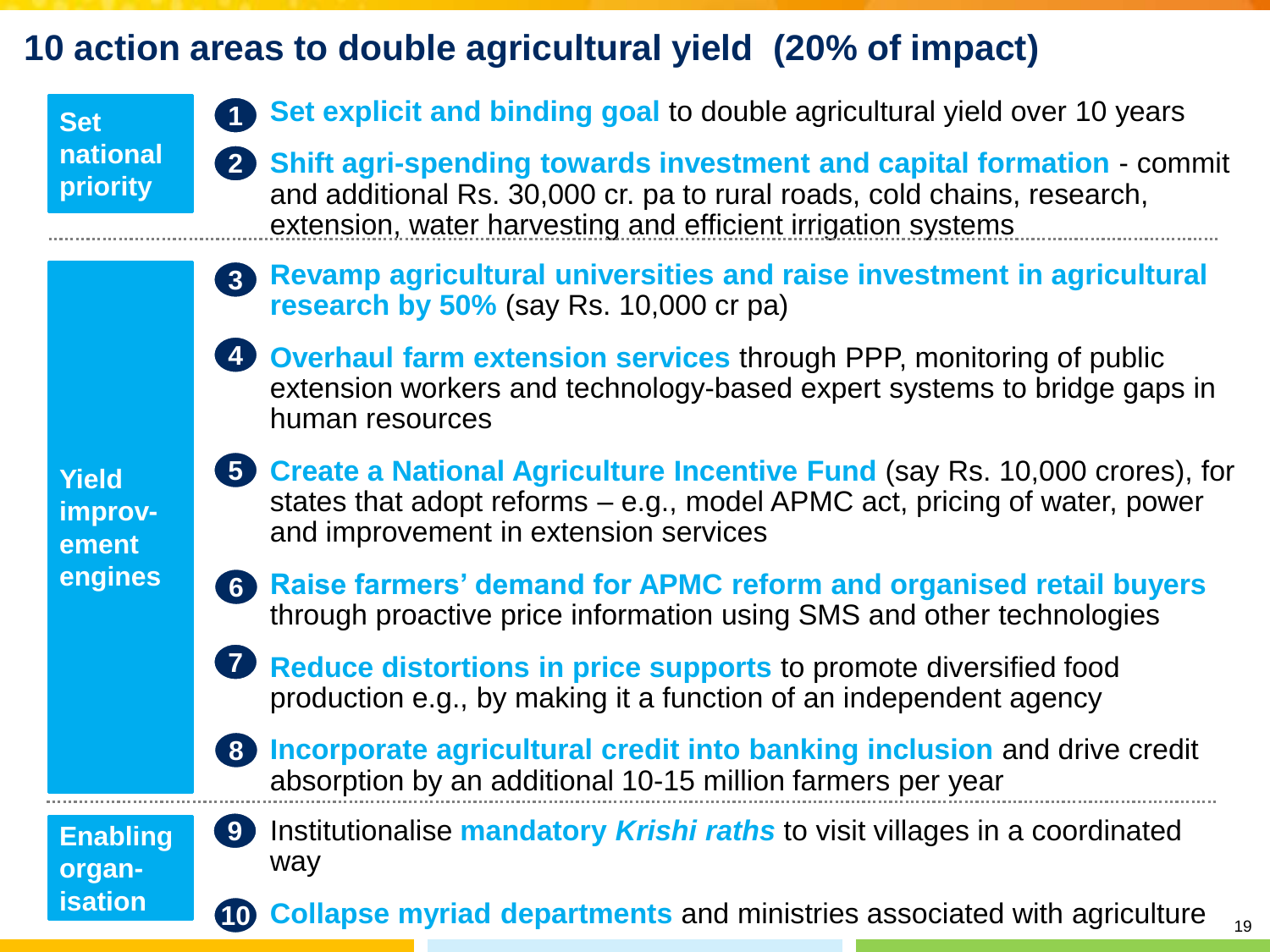# **10 action areas to double agricultural yield (20% of impact)**

### **Set national priority**

- **Set explicit and binding goal to double agricultural yield over 10 years**
- 2 Shift agri-spending towards investment and capital formation commit and additional Rs. 30,000 cr. pa to rural roads, cold chains, research, extension, water harvesting and efficient irrigation systems
- **Revamp agricultural universities and raise investment in agricultural research by 50%** (say Rs. 10,000 cr pa) **3**
- **4** Overhaul farm extension services through PPP, monitoring of public extension workers and technology-based expert systems to bridge gaps in human resources
- **Yield improvement engines**
- **5** Create a National Agriculture Incentive Fund (say Rs. 10,000 crores), for states that adopt reforms – e.g., model APMC act, pricing of water, power and improvement in extension services
- **Raise farmers' demand for APMC reform and organised retail buyers 6** through proactive price information using SMS and other technologies
- **Reduce distortions in price supports to promote diversified food** production e.g., by making it a function of an independent agency **7**
- 8 **Incorporate agricultural credit into banking inclusion** and drive credit absorption by an additional 10-15 million farmers per year

#### **Enabling organisation**

▪ Institutionalise **mandatory** *Krishi raths* to visit villages in a coordinated way **9**

**10 Collapse myriad departments** and ministries associated with agriculture